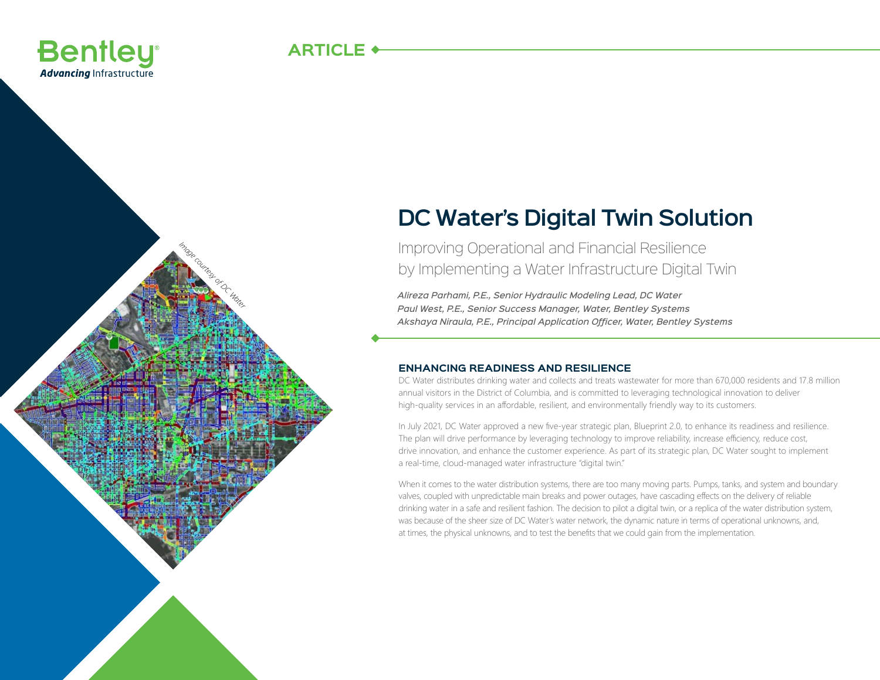

*Image courtesy of DC Water*

# **DC Water's Digital Twin Solution**

Improving Operational and Financial Resilience by Implementing a Water Infrastructure Digital Twin

*Alireza Parhami, P.E., Senior Hydraulic Modeling Lead, DC Water Paul West, P.E., Senior Success Manager, Water, Bentley Systems Akshaya Niraula, P.E., Principal Application Officer, Water, Bentley Systems*

## **ENHANCING READINESS AND RESILIENCE**

DC Water distributes drinking water and collects and treats wastewater for more than 670,000 residents and 17.8 million annual visitors in the District of Columbia, and is committed to leveraging technological innovation to deliver high-quality services in an affordable, resilient, and environmentally friendly way to its customers.

In July 2021, DC Water approved a new five-year strategic plan, Blueprint 2.0, to enhance its readiness and resilience. The plan will drive performance by leveraging technology to improve reliability, increase efficiency, reduce cost, drive innovation, and enhance the customer experience. As part of its strategic plan, DC Water sought to implement a real-time, cloud-managed water infrastructure "digital twin."

When it comes to the water distribution systems, there are too many moving parts. Pumps, tanks, and system and boundary valves, coupled with unpredictable main breaks and power outages, have cascading effects on the delivery of reliable drinking water in a safe and resilient fashion. The decision to pilot a digital twin, or a replica of the water distribution system, was because of the sheer size of DC Water's water network, the dynamic nature in terms of operational unknowns, and, at times, the physical unknowns, and to test the benefits that we could gain from the implementation.